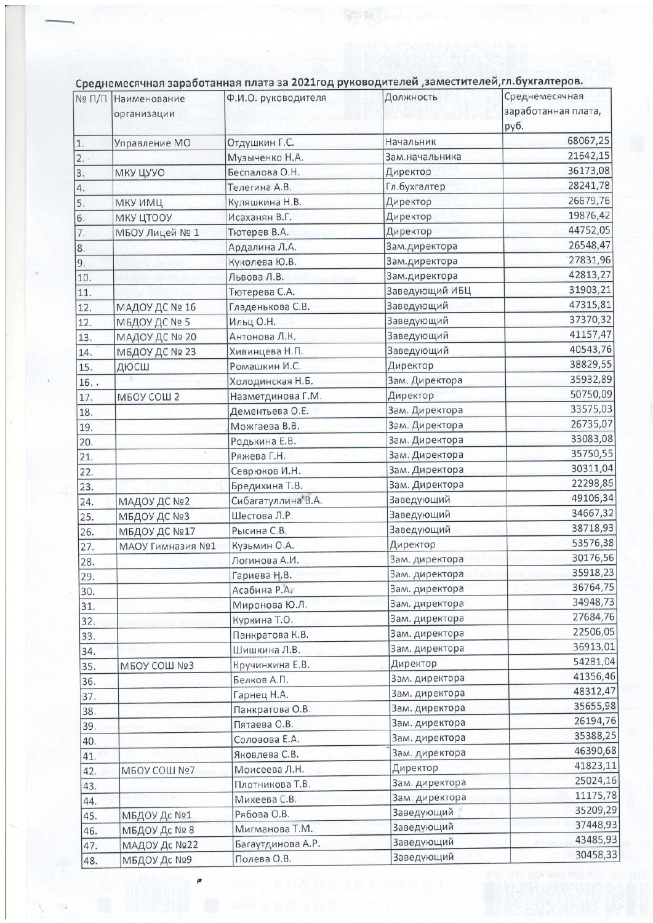|                  | № П/П Наименование<br>организации | Ф.И.О. руководителя | Должность      | Среднемесячная<br>заработанная плата,<br>руб. |
|------------------|-----------------------------------|---------------------|----------------|-----------------------------------------------|
| 1.               | Управление МО                     | Отдушкин Г.С.       | Начальник      | 68067,25                                      |
| 2.               |                                   | Музыченко Н.А.      | Зам.начальника | 21642,15                                      |
| $\overline{3}$ . | МКУ ЦУУО                          | Беспалова О.Н.      | Директор       | 36173,08                                      |
| 4.               |                                   | Телегина А.В.       | Гл.бухгалтер   | 28241,78                                      |
| 5.               | <b>МКУ ИМЦ</b>                    | Куляшкина Н.В.      | Директор       | 26679,76                                      |
| 6.               | МКУ ЦТООУ                         | Исаханян В.Г.       | Директор       | 19876,42                                      |
| 7.               | МБОУ Лицей № 1                    | Тютерев В.А.        | Директор       | 44752,05                                      |
| 8.               |                                   | Ардалина Л.А.       | Зам.директора  | 26548,47                                      |
| 9.               |                                   | Куколева Ю.В.       | Зам.директора  | 27831,96                                      |
| 10.              |                                   | Львова Л.В.         | Зам.директора  | 42813,27                                      |
| 11.              |                                   | Тютерева С.А.       | Заведующий ИБЦ | 31903,21                                      |
| 12.              | МАДОУ ДС № 16                     | Гладенькова С.В.    | Заведующий     | 47315,81                                      |
| 12.              | МБДОУ ДС № 5                      | Ильц О.Н.           | Заведующий     | 37370,32                                      |
| 13.              | МАДОУ ДС № 20                     | Антонова Л.К.       | Заведующий     | 41157,47                                      |
| 14.              | МБДОУ ДС № 23                     | Хивинцева Н.П.      | Заведующий     | 40543,76                                      |
| 15.              | дюсш                              | Ромашкин И.С.       | Директор       | 38829,55                                      |
| 16.              |                                   | Холодинская Н.Б.    | Зам. Директора | 35932,89                                      |
| 17.              | МБОУ СОШ 2                        | Назметдинова Г.М.   | Директор       | 50750,09                                      |
| 18.              |                                   | Дементьева О.Е.     | Зам. Директора | 33575,03                                      |
|                  |                                   | Можгаева В.В.       | Зам. Директора | 26735,07                                      |
| 19.              |                                   | Родькина Е.В.       | Зам. Директора | 33083,08                                      |
| 20.              |                                   | Ряжева Г.Н.         | Зам. Директора | 35750,55                                      |
| 21.              |                                   | Севрюков И.Н.       | Зам. Директора | 30311,04                                      |
| 22.              |                                   | Бредихина Т.В.      | Зам. Директора | 22298,86                                      |
| 23.              |                                   | Сибагатуллина*В.А.  | Заведующий     | 49106,34                                      |
| 24.              | МАДОУ ДС №2                       | Шестова Л.Р.        | Заведующий     | 34667,32                                      |
| 25.              | МБДОУ ДС №3                       | Рысина С.В.         | Заведующий     | 38718,93                                      |
| 26.              | МБДОУ ДС №17                      | Кузьмин О.А.        | Директор       | 53576,38                                      |
| 27.              | МАОУ Гимназия №1                  | Логинова А.И.       | Зам. директора | 30176,56                                      |
| 28.              |                                   | Гариева Н.В.        | Зам. директора | 35918,23                                      |
| 29.              |                                   | Асабина Р.А.        | Зам. директора | 36764,75                                      |
| 30.              |                                   | Миронова Ю.Л.       | Зам. директора | 34948,73                                      |
| 31.<br>32.       |                                   | Куркина Т.О.        | Зам. директора | 27684,76                                      |
| 33.              |                                   | Панкратова К.В.     | Зам. директора | 22506,05                                      |
|                  |                                   | Шишкина Л.В.        | Зам. директора | 36913,01                                      |
| 34.              |                                   | Кручинкина Е.В.     | Директор       | 54281,04                                      |
| 35.              | МБОУ СОШ №3                       | Белков А.П.         | Зам. директора | 41356,46                                      |
| 36.              |                                   | Гарнец Н.А.         | Зам. директора | 48312,47                                      |
| 37.              |                                   | Панкратова О.В.     | Зам. директора | 35655,98                                      |
| 38.              |                                   | Пятаева О.В.        | Зам. директора | 26194,76                                      |
| 39.              |                                   | Соловова Е.А.       | Зам. директора | 35388,25                                      |
| 40.              |                                   | Яковлева С.В.       | Зам. директора | 46390,68                                      |
| 41.              |                                   | Моисеева Л.Н.       | Директор       | 41823,11                                      |
| 42.              | <b>МБОУ СОШ №7</b>                | Плотникова Т.В.     | Зам. директора | 25024,16                                      |
| 43.              |                                   |                     | Зам. директора | 11175,78                                      |
| 44.              |                                   | Михеева С.В.        | Заведующий     | 35209,29                                      |
| 45.              | МБДОУ Дс №1                       | Рябова О.В.         | Заведующий     | 37448,93                                      |
| 46.              | МБДОУ Дс № 8                      | Мигманова Т.М.      | Заведующий     | 43485,93                                      |
| 47.              | МАДОУ Дс №22                      | Багаутдинова А.Р.   | Заведующий     | 30458,33                                      |
| 48.              | МБДОУ Дс №9                       | Полева О.В.         |                |                                               |

 $\epsilon$ 

а 2021 год руководителей, заместителей, гл. бухгалтеров  $nnnn$